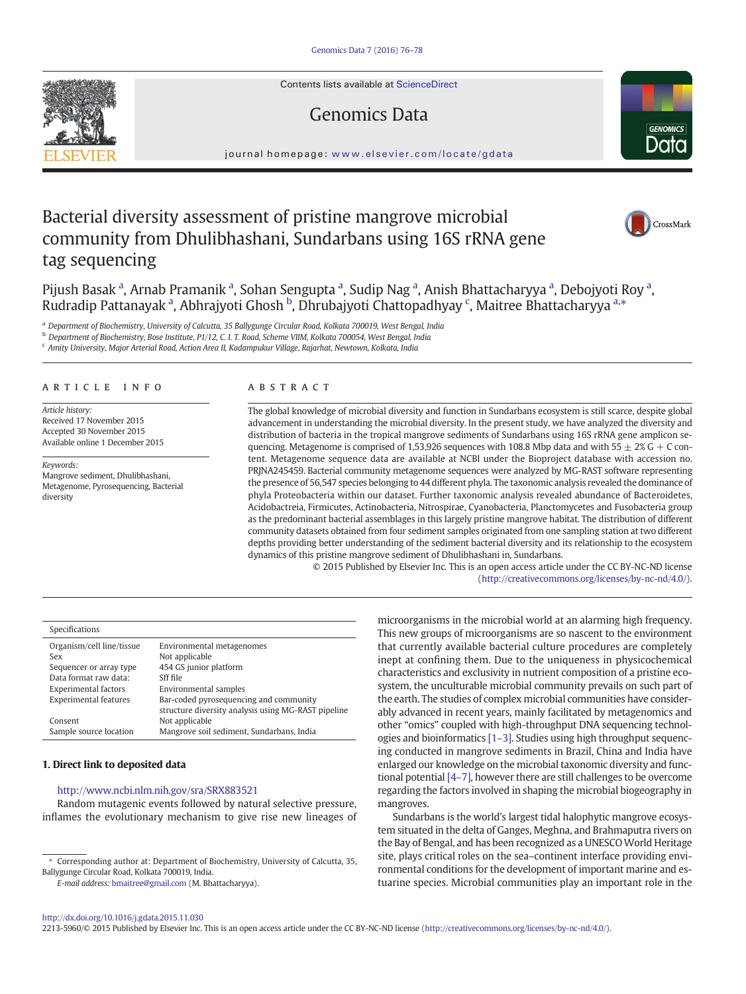Contents lists available at ScienceDirect

# Genomics Data



journal homepage: <www.elsevier.com/locate/gdata>

# Bacterial diversity assessment of pristine mangrove microbial community from Dhulibhashani, Sundarbans using 16S rRNA gene tag sequencing



Pijush Basak <sup>a</sup>, Arnab Pramanik <sup>a</sup>, Sohan Sengupta <sup>a</sup>, Sudip Nag <sup>a</sup>, Anish Bhattacharyya <sup>a</sup>, Debojyoti Roy <sup>a</sup>, Rudradip Pattanayak <sup>a</sup>, Abhrajyoti Ghosh <sup>b</sup>, Dhrubajyoti Chattopadhyay <sup>c</sup>, Maitree Bhattacharyya <sup>a,</sup>\*

a Department of Biochemistry, University of Calcutta, 35 Ballygunge Circular Road, Kolkata 700019, West Bengal, India

<sup>b</sup> Department of Biochemistry, Bose Institute, P1/12, C. I. T. Road, Scheme VIIM, Kolkata 700054, West Bengal, India

<sup>c</sup> Amity University, Major Arterial Road, Action Area II, Kadampukur Village, Rajarhat, Newtown, Kolkata, India

# article info abstract

Article history: Received 17 November 2015 Accepted 30 November 2015 Available online 1 December 2015

Keywords: Mangrove sediment, Dhulibhashani, Metagenome, Pyrosequencing, Bacterial diversity

The global knowledge of microbial diversity and function in Sundarbans ecosystem is still scarce, despite global advancement in understanding the microbial diversity. In the present study, we have analyzed the diversity and distribution of bacteria in the tropical mangrove sediments of Sundarbans using 16S rRNA gene amplicon sequencing. Metagenome is comprised of 1,53,926 sequences with 108.8 Mbp data and with  $55 \pm 2\%$  G + C content. Metagenome sequence data are available at NCBI under the Bioproject database with accession no. PRJNA245459. Bacterial community metagenome sequences were analyzed by MG-RAST software representing the presence of 56,547 species belonging to 44 different phyla. The taxonomic analysis revealed the dominance of phyla Proteobacteria within our dataset. Further taxonomic analysis revealed abundance of Bacteroidetes, Acidobactreia, Firmicutes, Actinobacteria, Nitrospirae, Cyanobacteria, Planctomycetes and Fusobacteria group as the predominant bacterial assemblages in this largely pristine mangrove habitat. The distribution of different community datasets obtained from four sediment samples originated from one sampling station at two different depths providing better understanding of the sediment bacterial diversity and its relationship to the ecosystem dynamics of this pristine mangrove sediment of Dhulibhashani in, Sundarbans.

> © 2015 Published by Elsevier Inc. This is an open access article under the CC BY-NC-ND license (http://creativecommons.org/licenses/by-nc-nd/4.0/).

| Specifications                   |                                                     |
|----------------------------------|-----------------------------------------------------|
| Organism/cell line/tissue<br>Sex | Environmental metagenomes                           |
|                                  | Not applicable                                      |
| Sequencer or array type          | 454 GS junior platform                              |
| Data format raw data:            | Sff file                                            |
| <b>Experimental factors</b>      | Environmental samples                               |
| <b>Experimental features</b>     | Bar-coded pyrosequencing and community              |
|                                  | structure diversity analysis using MG-RAST pipeline |
| Consent                          | Not applicable                                      |
| Sample source location           | Mangrove soil sediment, Sundarbans, India           |

### 1. Direct link to deposited data

# http://www.ncbi.nlm.nih.gov/sra/SRX883521

Random mutagenic events followed by natural selective pressure, inflames the evolutionary mechanism to give rise new lineages of

E-mail address: [bmaitree@gmail.com](mailto:bmaitree@gmail.com) (M. Bhattacharyya).

microorganisms in the microbial world at an alarming high frequency. This new groups of microorganisms are so nascent to the environment that currently available bacterial culture procedures are completely inept at confining them. Due to the uniqueness in physicochemical characteristics and exclusivity in nutrient composition of a pristine ecosystem, the unculturable microbial community prevails on such part of the earth. The studies of complex microbial communities have considerably advanced in recent years, mainly facilitated by metagenomics and other "omics" coupled with high-throughput DNA sequencing technologies and bioinformatics [1–[3\].](#page-2-0) Studies using high throughput sequencing conducted in mangrove sediments in Brazil, China and India have enlarged our knowledge on the microbial taxonomic diversity and functional potential [\[4](#page-2-0)–7], however there are still challenges to be overcome regarding the factors involved in shaping the microbial biogeography in mangroves.

Sundarbans is the world's largest tidal halophytic mangrove ecosystem situated in the delta of Ganges, Meghna, and Brahmaputra rivers on the Bay of Bengal, and has been recognized as a UNESCO World Heritage site, plays critical roles on the sea–continent interface providing environmental conditions for the development of important marine and estuarine species. Microbial communities play an important role in the

<http://dx.doi.org/10.1016/j.gdata.2015.11.030>

2213-5960/© 2015 Published by Elsevier Inc. This is an open access article under the CC BY-NC-ND license (http://creativecommons.org/licenses/by-nc-nd/4.0/).



<sup>⁎</sup> Corresponding author at: Department of Biochemistry, University of Calcutta, 35, Ballygunge Circular Road, Kolkata 700019, India.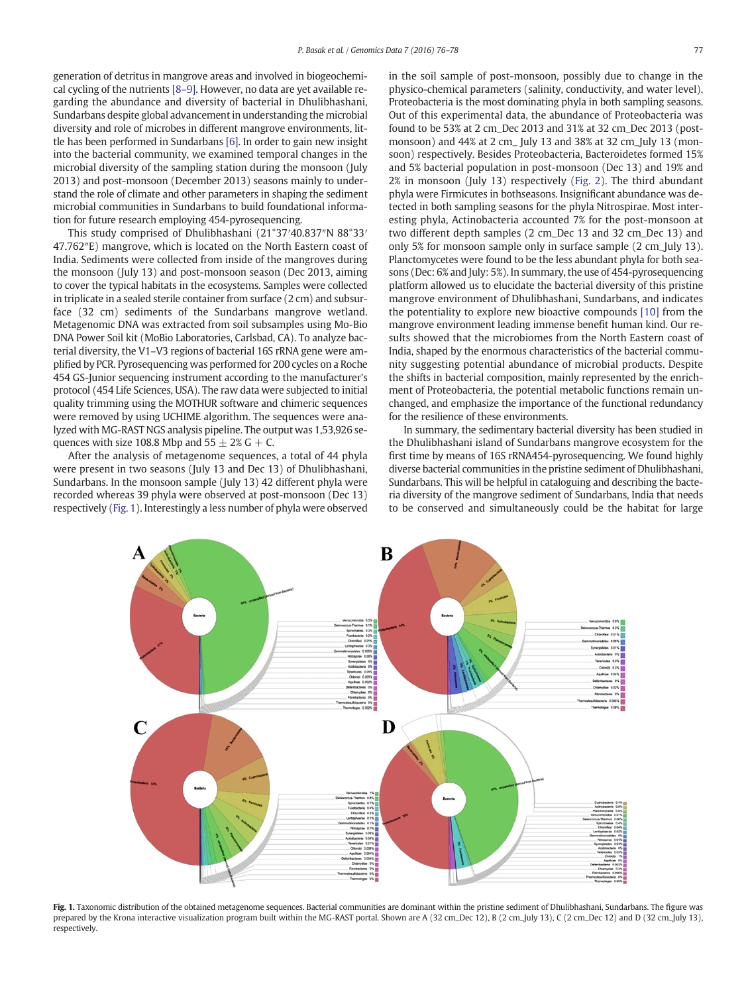generation of detritus in mangrove areas and involved in biogeochemical cycling of the nutrients [\[8](#page-2-0)–9]. However, no data are yet available regarding the abundance and diversity of bacterial in Dhulibhashani, Sundarbans despite global advancement in understanding the microbial diversity and role of microbes in different mangrove environments, little has been performed in Sundarbans [\[6\]](#page-2-0). In order to gain new insight into the bacterial community, we examined temporal changes in the microbial diversity of the sampling station during the monsoon (July 2013) and post-monsoon (December 2013) seasons mainly to understand the role of climate and other parameters in shaping the sediment microbial communities in Sundarbans to build foundational information for future research employing 454-pyrosequencing.

This study comprised of Dhulibhashani (21°37′40.837″N 88°33′ 47.762″E) mangrove, which is located on the North Eastern coast of India. Sediments were collected from inside of the mangroves during the monsoon (July 13) and post-monsoon season (Dec 2013, aiming to cover the typical habitats in the ecosystems. Samples were collected in triplicate in a sealed sterile container from surface (2 cm) and subsurface (32 cm) sediments of the Sundarbans mangrove wetland. Metagenomic DNA was extracted from soil subsamples using Mo-Bio DNA Power Soil kit (MoBio Laboratories, Carlsbad, CA). To analyze bacterial diversity, the V1–V3 regions of bacterial 16S rRNA gene were amplified by PCR. Pyrosequencing was performed for 200 cycles on a Roche 454 GS-Junior sequencing instrument according to the manufacturer's protocol (454 Life Sciences, USA). The raw data were subjected to initial quality trimming using the MOTHUR software and chimeric sequences were removed by using UCHIME algorithm. The sequences were analyzed with MG-RAST NGS analysis pipeline. The output was 1,53,926 sequences with size 108.8 Mbp and  $55 \pm 2\%$  G + C.

After the analysis of metagenome sequences, a total of 44 phyla were present in two seasons (July 13 and Dec 13) of Dhulibhashani, Sundarbans. In the monsoon sample (July 13) 42 different phyla were recorded whereas 39 phyla were observed at post-monsoon (Dec 13) respectively (Fig. 1). Interestingly a less number of phyla were observed in the soil sample of post-monsoon, possibly due to change in the physico-chemical parameters (salinity, conductivity, and water level). Proteobacteria is the most dominating phyla in both sampling seasons. Out of this experimental data, the abundance of Proteobacteria was found to be 53% at 2 cm\_Dec 2013 and 31% at 32 cm\_Dec 2013 (postmonsoon) and 44% at 2 cm\_ July 13 and 38% at 32 cm\_July 13 (monsoon) respectively. Besides Proteobacteria, Bacteroidetes formed 15% and 5% bacterial population in post-monsoon (Dec 13) and 19% and 2% in monsoon (July 13) respectively [\(Fig. 2\)](#page-2-0). The third abundant phyla were Firmicutes in bothseasons. Insignificant abundance was detected in both sampling seasons for the phyla Nitrospirae. Most interesting phyla, Actinobacteria accounted 7% for the post-monsoon at two different depth samples (2 cm\_Dec 13 and 32 cm\_Dec 13) and only 5% for monsoon sample only in surface sample (2 cm\_July 13). Planctomycetes were found to be the less abundant phyla for both seasons (Dec: 6% and July: 5%). In summary, the use of 454-pyrosequencing platform allowed us to elucidate the bacterial diversity of this pristine mangrove environment of Dhulibhashani, Sundarbans, and indicates the potentiality to explore new bioactive compounds [\[10\]](#page-2-0) from the mangrove environment leading immense benefit human kind. Our results showed that the microbiomes from the North Eastern coast of India, shaped by the enormous characteristics of the bacterial community suggesting potential abundance of microbial products. Despite the shifts in bacterial composition, mainly represented by the enrichment of Proteobacteria, the potential metabolic functions remain unchanged, and emphasize the importance of the functional redundancy for the resilience of these environments.

In summary, the sedimentary bacterial diversity has been studied in the Dhulibhashani island of Sundarbans mangrove ecosystem for the first time by means of 16S rRNA454-pyrosequencing. We found highly diverse bacterial communities in the pristine sediment of Dhulibhashani, Sundarbans. This will be helpful in cataloguing and describing the bacteria diversity of the mangrove sediment of Sundarbans, India that needs to be conserved and simultaneously could be the habitat for large



Fig. 1. Taxonomic distribution of the obtained metagenome sequences. Bacterial communities are dominant within the pristine sediment of Dhulibhashani, Sundarbans. The figure was prepared by the Krona interactive visualization program built within the MG-RAST portal. Shown are A (32 cm\_Dec 12), B (2 cm\_July 13), C (2 cm\_Dec 12) and D (32 cm\_July 13), respectively.